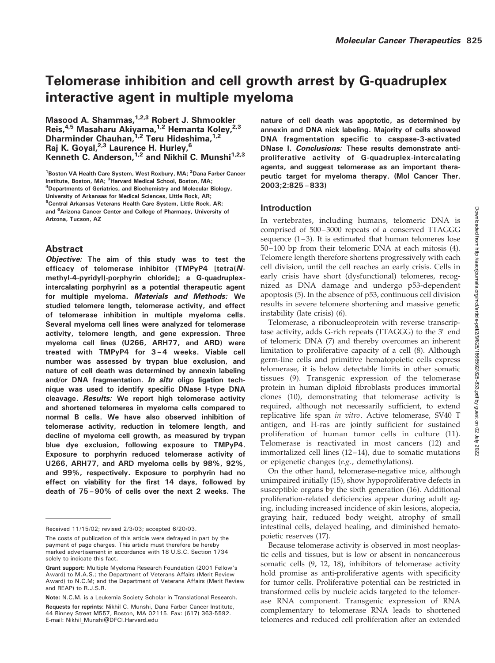# Telomerase inhibition and cell growth arrest by G-quadruplex interactive agent in multiple myeloma

Masood A. Shammas, <sup>1,2,3</sup> Robert J. Shmookler Reis,<sup>4,5</sup> Masaharu Akiyama,<sup>1,2</sup> Hemanta Koley,<sup>2,3</sup> Dharminder Chauhan, <sup>1,2</sup> Teru Hideshima, <sup>1,2</sup> Rai K. Goyal,<sup>2,3</sup> Laurence H. Hurley,<sup>6</sup> Kenneth C. Anderson,  $1,2$  and Nikhil C. Munshi $1,2,3$ 

<sup>1</sup> Boston VA Health Care System, West Roxbury, MA; <sup>2</sup>Dana Farber Cancer Institute, Boston, MA; <sup>3</sup>Harvard Medical School, Boston, MA; <sup>4</sup>Departments of Geriatrics, and Biochemistry and Molecular Biology, University of Arkansas for Medical Sciences, Little Rock, AR; <sup>5</sup> Central Arkansas Veterans Health Care System, Little Rock, AR; and <sup>6</sup> Arizona Cancer Center and College of Pharmacy, University of Arizona, Tucson, AZ

# Abstract

Objective: The aim of this study was to test the efficacy of telomerase inhibitor (TMPyP4 [tetra(Nmethyl-4-pyridyl)-porphyrin chloride]; a G-quadruplexintercalating porphyrin) as a potential therapeutic agent for multiple myeloma. Materials and Methods: We studied telomere length, telomerase activity, and effect of telomerase inhibition in multiple myeloma cells. Several myeloma cell lines were analyzed for telomerase activity, telomere length, and gene expression. Three myeloma cell lines (U266, ARH77, and ARD) were treated with TMPyP4 for 3–4 weeks. Viable cell number was assessed by trypan blue exclusion, and nature of cell death was determined by annexin labeling and/or DNA fragmentation. In situ oligo ligation technique was used to identify specific DNase I-type DNA cleavage. Results: We report high telomerase activity and shortened telomeres in myeloma cells compared to normal B cells. We have also observed inhibition of telomerase activity, reduction in telomere length, and decline of myeloma cell growth, as measured by trypan blue dye exclusion, following exposure to TMPyP4. Exposure to porphyrin reduced telomerase activity of U266, ARH77, and ARD myeloma cells by 98%, 92%, and 99%, respectively. Exposure to porphyrin had no effect on viability for the first 14 days, followed by death of 75–90% of cells over the next 2 weeks. The nature of cell death was apoptotic, as determined by annexin and DNA nick labeling. Majority of cells showed DNA fragmentation specific to caspase-3-activated DNase I. Conclusions: These results demonstrate antiproliferative activity of G-quadruplex-intercalating agents, and suggest telomerase as an important therapeutic target for myeloma therapy. (Mol Cancer Ther. 2003;2:825–833)

# Introduction

In vertebrates, including humans, telomeric DNA is comprised of 500–3000 repeats of a conserved TTAGGG sequence (1–3). It is estimated that human telomeres lose 50–100 bp from their telomeric DNA at each mitosis (4). Telomere length therefore shortens progressively with each cell division, until the cell reaches an early crisis. Cells in early crisis have short (dysfunctional) telomeres, recognized as DNA damage and undergo p53-dependent apoptosis (5). In the absence of p53, continuous cell division results in severe telomere shortening and massive genetic instability (late crisis) (6).

Telomerase, a ribonucleoprotein with reverse transcriptase activity, adds G-rich repeats (TTAGGG) to the 3' end of telomeric DNA (7) and thereby overcomes an inherent limitation to proliferative capacity of a cell (8). Although germ-line cells and primitive hematopoietic cells express telomerase, it is below detectable limits in other somatic tissues (9). Transgenic expression of the telomerase protein in human diploid fibroblasts produces immortal clones (10), demonstrating that telomerase activity is required, although not necessarily sufficient, to extend replicative life span in vitro. Active telomerase, SV40 T antigen, and H-ras are jointly sufficient for sustained proliferation of human tumor cells in culture (11). Telomerase is reactivated in most cancers (12) and immortalized cell lines (12–14), due to somatic mutations or epigenetic changes (e.g., demethylations).

On the other hand, telomerase-negative mice, although unimpaired initially (15), show hypoproliferative defects in susceptible organs by the sixth generation (16). Additional proliferation-related deficiencies appear during adult aging, including increased incidence of skin lesions, alopecia, graying hair, reduced body weight, atrophy of small intestinal cells, delayed healing, and diminished hematopoietic reserves (17).

Because telomerase activity is observed in most neoplastic cells and tissues, but is low or absent in noncancerous somatic cells (9, 12, 18), inhibitors of telomerase activity hold promise as anti-proliferative agents with specificity for tumor cells. Proliferative potential can be restricted in transformed cells by nucleic acids targeted to the telomerase RNA component. Transgenic expression of RNA complementary to telomerase RNA leads to shortened telomeres and reduced cell proliferation after an extended

Received 11/15/02; revised 2/3/03; accepted 6/20/03.

The costs of publication of this article were defrayed in part by the payment of page charges. This article must therefore be hereby marked advertisement in accordance with 18 U.S.C. Section 1734 solely to indicate this fact.

Grant support: Multiple Myeloma Research Foundation (2001 Fellow's Award) to M.A.S.; the Department of Veterans Affairs (Merit Review Award) to N.C.M; and the Department of Veterans Affairs (Merit Review and REAP) to R.J.S.R.

Note: N.C.M. is a Leukemia Society Scholar in Translational Research.

Requests for reprints: Nikhil C. Munshi, Dana Farber Cancer Institute, 44 Binney Street M557, Boston, MA 02115. Fax: (617) 363-5592. E-mail: Nikhil\_Munshi@DFCI.Harvard.edu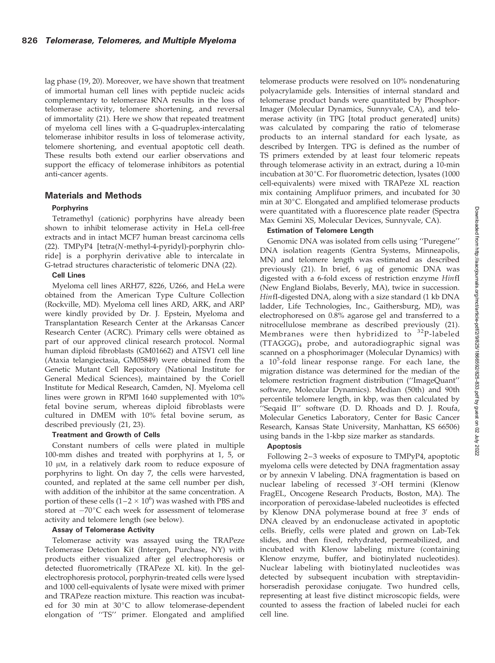lag phase (19, 20). Moreover, we have shown that treatment of immortal human cell lines with peptide nucleic acids complementary to telomerase RNA results in the loss of telomerase activity, telomere shortening, and reversal of immortality (21). Here we show that repeated treatment of myeloma cell lines with a G-quadruplex-intercalating telomerase inhibitor results in loss of telomerase activity, telomere shortening, and eventual apoptotic cell death. These results both extend our earlier observations and support the efficacy of telomerase inhibitors as potential anti-cancer agents.

## Materials and Methods

## Porphyrins

Tetramethyl (cationic) porphyrins have already been shown to inhibit telomerase activity in HeLa cell-free extracts and in intact MCF7 human breast carcinoma cells (22). TMPyP4 [tetra(N-methyl-4-pyridyl)-porphyrin chloride] is a porphyrin derivative able to intercalate in G-tetrad structures characteristic of telomeric DNA (22).

#### Cell Lines

Myeloma cell lines ARH77, 8226, U266, and HeLa were obtained from the American Type Culture Collection (Rockville, MD). Myeloma cell lines ARD, ARK, and ARP were kindly provided by Dr. J. Epstein, Myeloma and Transplantation Research Center at the Arkansas Cancer Research Center (ACRC). Primary cells were obtained as part of our approved clinical research protocol. Normal human diploid fibroblasts (GM01662) and ATSV1 cell line (Ataxia telangiectasia, GM05849) were obtained from the Genetic Mutant Cell Repository (National Institute for General Medical Sciences), maintained by the Coriell Institute for Medical Research, Camden, NJ. Myeloma cell lines were grown in RPMI 1640 supplemented with 10% fetal bovine serum, whereas diploid fibroblasts were cultured in DMEM with 10% fetal bovine serum, as described previously (21, 23).

#### Treatment and Growth of Cells

Constant numbers of cells were plated in multiple 100-mm dishes and treated with porphyrins at 1, 5, or  $10 \mu$ M, in a relatively dark room to reduce exposure of porphyrins to light. On day 7, the cells were harvested, counted, and replated at the same cell number per dish, with addition of the inhibitor at the same concentration. A portion of these cells  $(1-2 \times 10^6)$  was washed with PBS and stored at  $-70^{\circ}$ C each week for assessment of telomerase activity and telomere length (see below).

#### Assay of Telomerase Activity

Telomerase activity was assayed using the TRAPeze Telomerase Detection Kit (Intergen, Purchase, NY) with products either visualized after gel electrophoresis or detected fluorometrically (TRAPeze XL kit). In the gelelectrophoresis protocol, porphyrin-treated cells were lysed and 1000 cell-equivalents of lysate were mixed with primer and TRAPeze reaction mixture. This reaction was incubated for 30 min at  $30^{\circ}$ C to allow telomerase-dependent elongation of ''TS'' primer. Elongated and amplified

telomerase products were resolved on 10% nondenaturing polyacrylamide gels. Intensities of internal standard and telomerase product bands were quantitated by Phosphor-Imager (Molecular Dynamics, Sunnyvale, CA), and telomerase activity (in TPG [total product generated] units) was calculated by comparing the ratio of telomerase products to an internal standard for each lysate, as described by Intergen. TPG is defined as the number of TS primers extended by at least four telomeric repeats through telomerase activity in an extract, during a 10-min incubation at 30°C. For fluorometric detection, lysates (1000 cell-equivalents) were mixed with TRAPeze XL reaction mix containing Amplifuor primers, and incubated for 30 min at 30°C. Elongated and amplified telomerase products were quantitated with a fluorescence plate reader (Spectra Max Gemini XS, Molecular Devices, Sunnyvale, CA).

## Estimation of Telomere Length

Genomic DNA was isolated from cells using ''Puregene'' DNA isolation reagents (Gentra Systems, Minneapolis, MN) and telomere length was estimated as described previously  $(21)$ . In brief, 6  $\mu$ g of genomic DNA was digested with a 6-fold excess of restriction enzyme HinfI (New England Biolabs, Beverly, MA), twice in succession. HinfI-digested DNA, along with a size standard (1 kb DNA ladder, Life Technologies, Inc., Gaithersburg, MD), was electrophoresed on 0.8% agarose gel and transferred to a nitrocellulose membrane as described previously (21). Membranes were then hybridized to  $32P$ -labeled (TTAGGG)4 probe, and autoradiographic signal was scanned on a phosphorimager (Molecular Dynamics) with a 10<sup>5</sup>-fold linear response range. For each lane, the migration distance was determined for the median of the telomere restriction fragment distribution (''ImageQuant'' software, Molecular Dynamics). Median (50th) and 90th percentile telomere length, in kbp, was then calculated by ''Seqaid II'' software (D. D. Rhoads and D. J. Roufa, Molecular Genetics Laboratory, Center for Basic Cancer Research, Kansas State University, Manhattan, KS 66506) using bands in the 1-kbp size marker as standards.

#### Apoptosis

Following 2–3 weeks of exposure to TMPyP4, apoptotic myeloma cells were detected by DNA fragmentation assay or by annexin V labeling. DNA fragmentation is based on nuclear labeling of recessed 3'-OH termini (Klenow FragEL, Oncogene Research Products, Boston, MA). The incorporation of peroxidase-labeled nucleotides is effected by Klenow DNA polymerase bound at free 3' ends of DNA cleaved by an endonuclease activated in apoptotic cells. Briefly, cells were plated and grown on Lab-Tek slides, and then fixed, rehydrated, permeabilized, and incubated with Klenow labeling mixture (containing Klenow enzyme, buffer, and biotinylated nucleotides). Nuclear labeling with biotinylated nucleotides was detected by subsequent incubation with streptavidinhorseradish peroxidase conjugate. Two hundred cells, representing at least five distinct microscopic fields, were counted to assess the fraction of labeled nuclei for each cell line.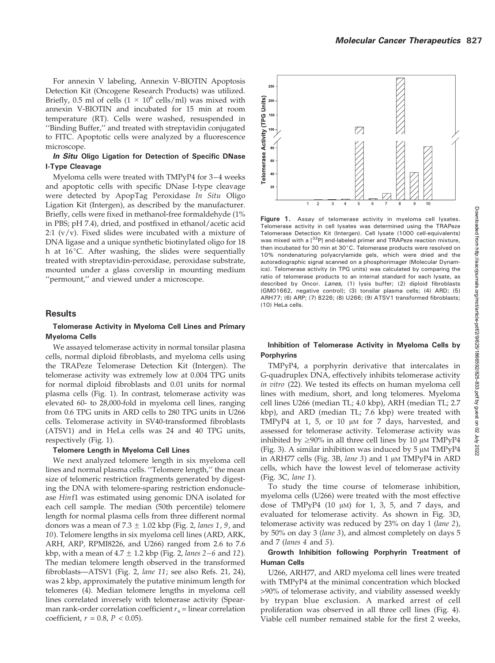For annexin V labeling, Annexin V-BIOTIN Apoptosis Detection Kit (Oncogene Research Products) was utilized. Briefly, 0.5 ml of cells  $(1 \times 10^6 \text{ cells/ml})$  was mixed with annexin V-BIOTIN and incubated for 15 min at room temperature (RT). Cells were washed, resuspended in ''Binding Buffer,'' and treated with streptavidin conjugated to FITC. Apoptotic cells were analyzed by a fluorescence microscope.

### In Situ Oligo Ligation for Detection of Specific DNase I-Type Cleavage

Myeloma cells were treated with TMPyP4 for 3–4 weeks and apoptotic cells with specific DNase I-type cleavage were detected by ApopTag Peroxidase In Situ Oligo Ligation Kit (Intergen), as described by the manufacturer. Briefly, cells were fixed in methanol-free formaldehyde (1% in PBS; pH 7.4), dried, and postfixed in ethanol/acetic acid 2:1  $(v/v)$ . Fixed slides were incubated with a mixture of DNA ligase and a unique synthetic biotinylated oligo for 18 h at  $16^{\circ}$ C. After washing, the slides were sequentially treated with streptavidin-peroxidase, peroxidase substrate, mounted under a glass coverslip in mounting medium ''permount,'' and viewed under a microscope.

## **Results**

### Telomerase Activity in Myeloma Cell Lines and Primary Myeloma Cells

We assayed telomerase activity in normal tonsilar plasma cells, normal diploid fibroblasts, and myeloma cells using the TRAPeze Telomerase Detection Kit (Intergen). The telomerase activity was extremely low at 0.004 TPG units for normal diploid fibroblasts and 0.01 units for normal plasma cells (Fig. 1). In contrast, telomerase activity was elevated 60- to 28,000-fold in myeloma cell lines, ranging from 0.6 TPG units in ARD cells to 280 TPG units in U266 cells. Telomerase activity in SV40-transformed fibroblasts (ATSV1) and in HeLa cells was 24 and 40 TPG units, respectively (Fig. 1).

#### Telomere Length in Myeloma Cell Lines

We next analyzed telomere length in six myeloma cell lines and normal plasma cells. ''Telomere length,'' the mean size of telomeric restriction fragments generated by digesting the DNA with telomere-sparing restriction endonuclease Hinf1 was estimated using genomic DNA isolated for each cell sample. The median (50th percentile) telomere length for normal plasma cells from three different normal donors was a mean of  $7.3 \pm 1.02$  kbp (Fig. 2, lanes 1, 9, and 10). Telomere lengths in six myeloma cell lines (ARD, ARK, ARH, ARP, RPMI8226, and U266) ranged from 2.6 to 7.6 kbp, with a mean of  $4.7 \pm 1.2$  kbp (Fig. 2, lanes 2–6 and 12). The median telomere length observed in the transformed fibroblasts—ATSV1 (Fig. 2, lane 11; see also Refs. 21, 24), was 2 kbp, approximately the putative minimum length for telomeres (4). Median telomere lengths in myeloma cell lines correlated inversely with telomerase activity (Spearman rank-order correlation coefficient  $r_s$  = linear correlation coefficient,  $r = 0.8$ ,  $P < 0.05$ ).



Figure 1. Assay of telomerase activity in myeloma cell lysates. Telomerase activity in cell lysates was determined using the TRAPeze Telomerase Detection Kit (Intergen). Cell lysate (1000 cell-equivalents) was mixed with a  $[^{32}P]$  end-labeled primer and TRAPeze reaction mixture, then incubated for 30 min at  $30^{\circ}$ C. Telomerase products were resolved on 10% nondenaturing polyacrylamide gels, which were dried and the autoradiographic signal scanned on a phosphorimager (Molecular Dynamics). Telomerase activity (in TPG units) was calculated by comparing the ratio of telomerase products to an internal standard for each lysate, as described by Oncor. Lanes, (1) lysis buffer; (2) diploid fibroblasts (GM01662, negative control); (3) tonsilar plasma cells; (4) ARD; (5) ARH77; (6) ARP; (7) 8226; (8) U266; (9) ATSV1 transformed fibroblasts; (10) HeLa cells.

## Inhibition of Telomerase Activity in Myeloma Cells by **Porphyrins**

TMPyP4, a porphyrin derivative that intercalates in G-quadruplex DNA, effectively inhibits telomerase activity in vitro (22). We tested its effects on human myeloma cell lines with medium, short, and long telomeres. Myeloma cell lines U266 (median TL; 4.0 kbp), ARH (median TL; 2.7 kbp), and ARD (median TL; 7.6 kbp) were treated with TMPyP4 at 1, 5, or 10  $\mu$ M for 7 days, harvested, and assessed for telomerase activity. Telomerase activity was inhibited by  $\geq$ 90% in all three cell lines by 10  $\mu$ M TMPyP4 (Fig. 3). A similar inhibition was induced by  $5 \mu M T M PvP4$ in ARH77 cells (Fig. 3B, lane 3) and 1 µM TMPyP4 in ARD cells, which have the lowest level of telomerase activity (Fig. 3C, lane 1).

To study the time course of telomerase inhibition, myeloma cells (U266) were treated with the most effective dose of TMPyP4  $(10 \mu)$  for 1, 3, 5, and 7 days, and evaluated for telomerase activity. As shown in Fig. 3D, telomerase activity was reduced by 23% on day 1 (lane 2), by 50% on day 3 (lane 3), and almost completely on days 5 and 7 (lanes 4 and 5).

## Growth Inhibition following Porphyrin Treatment of Human Cells

U266, ARH77, and ARD myeloma cell lines were treated with TMPyP4 at the minimal concentration which blocked >90% of telomerase activity, and viability assessed weekly by trypan blue exclusion. A marked arrest of cell proliferation was observed in all three cell lines (Fig. 4). Viable cell number remained stable for the first 2 weeks,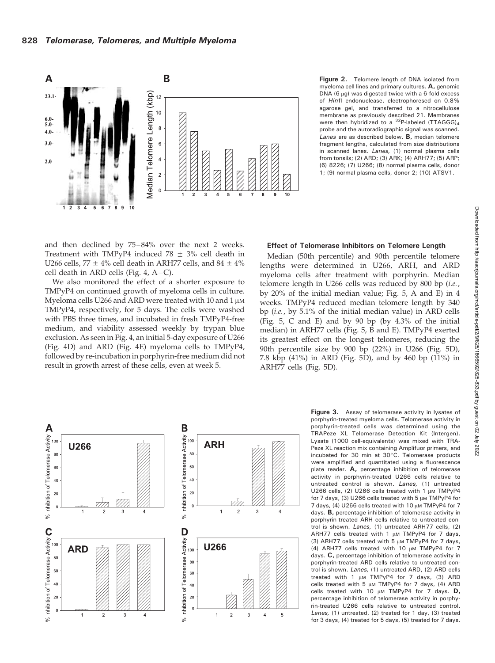

Figure 2. Telomere length of DNA isolated from myeloma cell lines and primary cultures. A, genomic DNA (6  $\mu$ g) was digested twice with a 6-fold excess of HinfI endonuclease, electrophoresed on 0.8% agarose gel, and transferred to a nitrocellulose membrane as previously described 21. Membranes were then hybridized to a  $^{32}P$ -labeled (TTAGGG)<sub>4</sub> probe and the autoradiographic signal was scanned. Lanes are as described below. B, median telomere fragment lengths, calculated from size distributions in scanned lanes. Lanes, (1) normal plasma cells from tonsils; (2) ARD; (3) ARK; (4) ARH77; (5) ARP; (6) 8226; (7) U266; (8) normal plasma cells, donor 1; (9) normal plasma cells, donor 2; (10) ATSV1.

and then declined by 75–84% over the next 2 weeks. Treatment with TMPyP4 induced 78  $\pm$  3% cell death in U266 cells, 77  $\pm$  4% cell death in ARH77 cells, and 84  $\pm$  4% cell death in ARD cells (Fig. 4, A-C).

We also monitored the effect of a shorter exposure to TMPyP4 on continued growth of myeloma cells in culture. Myeloma cells U266 and ARD were treated with 10 and 1  $\mu$ M TMPyP4, respectively, for 5 days. The cells were washed with PBS three times, and incubated in fresh TMPyP4-free medium, and viability assessed weekly by trypan blue exclusion. As seen in Fig. 4, an initial 5-day exposure of U266 (Fig. 4D) and ARD (Fig. 4E) myeloma cells to TMPyP4, followed by re-incubation in porphyrin-free medium did not result in growth arrest of these cells, even at week 5.

## Effect of Telomerase Inhibitors on Telomere Length

Median (50th percentile) and 90th percentile telomere lengths were determined in U266, ARH, and ARD myeloma cells after treatment with porphyrin. Median telomere length in U266 cells was reduced by 800 bp (i.e., by 20% of the initial median value; Fig. 5, A and E) in 4 weeks. TMPyP4 reduced median telomere length by 340 bp (i.e., by 5.1% of the initial median value) in ARD cells (Fig. 5, C and E) and by 90 bp (by 4.3% of the initial median) in ARH77 cells (Fig. 5, B and E). TMPyP4 exerted its greatest effect on the longest telomeres, reducing the 90th percentile size by 900 bp (22%) in U266 (Fig. 5D), 7.8 kbp (41%) in ARD (Fig. 5D), and by 460 bp (11%) in ARH77 cells (Fig. 5D).



Figure 3. Assay of telomerase activity in lysates of porphyrin-treated myeloma cells. Telomerase activity in porphyrin-treated cells was determined using the TRAPeze XL Telomerase Detection Kit (Intergen). Lysate (1000 cell-equivalents) was mixed with TRA-Peze XL reaction mix containing Amplifuor primers, and incubated for 30 min at 30°C. Telomerase products were amplified and quantitated using a fluorescence plate reader. A, percentage inhibition of telomerase activity in porphyrin-treated U266 cells relative to untreated control is shown. Lanes, (1) untreated U266 cells, (2) U266 cells treated with 1  $\mu$ M TMPyP4 for 7 days, (3) U266 cells treated with  $5 \mu M$  TMPyP4 for 7 days, (4) U266 cells treated with 10  $\mu$ M TMPyP4 for 7 days. B, percentage inhibition of telomerase activity in porphyrin-treated ARH cells relative to untreated control is shown. Lanes, (1) untreated ARH77 cells, (2) ARH77 cells treated with 1  $\mu$ m TMPyP4 for 7 days, (3) ARH77 cells treated with  $5 \mu M$  TMPyP4 for 7 days, (4) ARH77 cells treated with 10  $\mu$ M TMPyP4 for 7 days. C, percentage inhibition of telomerase activity in porphyrin-treated ARD cells relative to untreated control is shown. Lanes, (1) untreated ARD, (2) ARD cells treated with 1  $\mu$ M TMPyP4 for 7 days, (3) ARD cells treated with 5  $\mu$ M TMPyP4 for 7 days, (4) ARD cells treated with 10  $\mu$ M TMPyP4 for 7 days. D, percentage inhibition of telomerase activity in porphyrin-treated U266 cells relative to untreated control. Lanes, (1) untreated, (2) treated for 1 day, (3) treated for 3 days, (4) treated for 5 days, (5) treated for 7 days.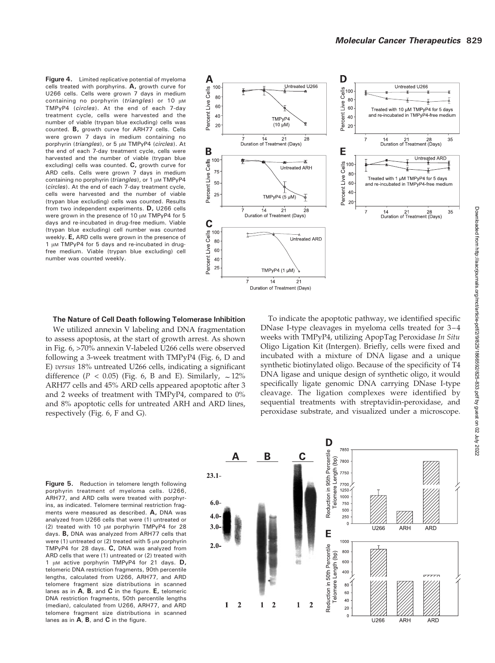Figure 4. Limited replicative potential of myeloma cells treated with porphyrins. A, growth curve for U266 cells. Cells were grown 7 days in medium containing no porphyrin (triangles) or  $10 \mu M$ TMPyP4 (circles). At the end of each 7-day treatment cycle, cells were harvested and the number of viable (trypan blue excluding) cells was counted. B, growth curve for ARH77 cells. Cells were grown 7 days in medium containing no porphyrin (triangles), or 5  $\mu$ M TMPyP4 (circles). At the end of each 7-day treatment cycle, cells were harvested and the number of viable (trypan blue excluding) cells was counted. C, growth curve for ARD cells. Cells were grown 7 days in medium containing no porphyrin (triangles), or 1  $\mu$ M TMPyP4 (circles). At the end of each 7-day treatment cycle, cells were harvested and the number of viable (trypan blue excluding) cells was counted. Results from two independent experiments. D, U266 cells were grown in the presence of 10  $\mu$ M TMPyP4 for 5 days and re-incubated in drug-free medium. Viable (trypan blue excluding) cell number was counted weekly. E, ARD cells were grown in the presence of 1 µM TMPyP4 for 5 days and re-incubated in drugfree medium. Viable (trypan blue excluding) cell number was counted weekly.



#### The Nature of Cell Death following Telomerase Inhibition

We utilized annexin V labeling and DNA fragmentation to assess apoptosis, at the start of growth arrest. As shown in Fig. 6, >70% annexin V-labeled U266 cells were observed following a 3-week treatment with TMPyP4 (Fig. 6, D and E) versus 18% untreated U266 cells, indicating a significant difference ( $P < 0.05$ ) (Fig. 6, B and E). Similarly,  $\sim 12\%$ ARH77 cells and 45% ARD cells appeared apoptotic after 3 and 2 weeks of treatment with TMPyP4, compared to 0% and 8% apoptotic cells for untreated ARH and ARD lines, respectively (Fig. 6, F and G).

To indicate the apoptotic pathway, we identified specific DNase I-type cleavages in myeloma cells treated for 3–4 weeks with TMPyP4, utilizing ApopTag Peroxidase In Situ Oligo Ligation Kit (Intergen). Briefly, cells were fixed and incubated with a mixture of DNA ligase and a unique synthetic biotinylated oligo. Because of the specificity of T4 DNA ligase and unique design of synthetic oligo, it would specifically ligate genomic DNA carrying DNase I-type cleavage. The ligation complexes were identified by sequential treatments with streptavidin-peroxidase, and peroxidase substrate, and visualized under a microscope.

Figure 5. Reduction in telomere length following porphyrin treatment of myeloma cells. U266, ARH77, and ARD cells were treated with porphyrins, as indicated. Telomere terminal restriction fragments were measured as described. **A**, DNA was analyzed from U266 cells that were (1) untreated or (2) treated with 10  $\mu$ M porphyrin TMPyP4 for 28 days. B, DNA was analyzed from ARH77 cells that were (1) untreated or (2) treated with  $5 \mu$ M porphyrin TMPyP4 for 28 days. C, DNA was analyzed from ARD cells that were (1) untreated or (2) treated with 1  $\mu$ M active porphyrin TMPyP4 for 21 days. D, telomeric DNA restriction fragments, 90th percentile lengths, calculated from U266, ARH77, and ARD telomere fragment size distributions in scanned lanes as in A, B, and C in the figure. E, telomeric DNA restriction fragments, 50th percentile lengths (median), calculated from U266, ARH77, and ARD telomere fragment size distributions in scanned lanes as in  $A$ ,  $B$ , and  $C$  in the figure.

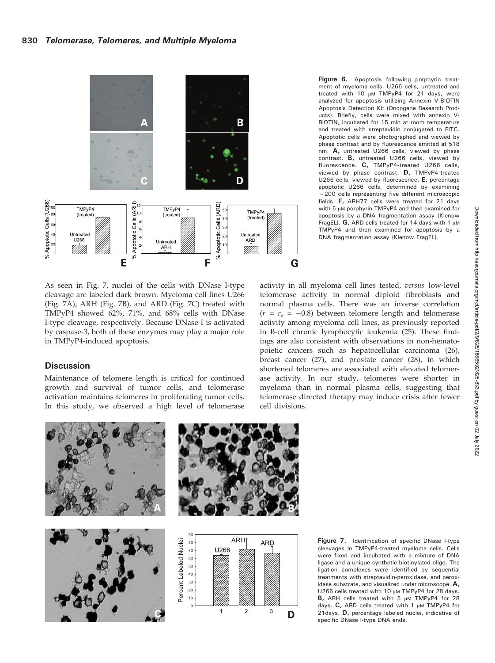

As seen in Fig. 7, nuclei of the cells with DNase I-type cleavage are labeled dark brown. Myeloma cell lines U266 (Fig. 7A), ARH (Fig. 7B), and ARD (Fig. 7C) treated with TMPyP4 showed 62%, 71%, and 68% cells with DNase I-type cleavage, respectively. Because DNase I is activated by caspase-3, both of these enzymes may play a major role in TMPyP4-induced apoptosis.

# **Discussion**

Maintenance of telomere length is critical for continued growth and survival of tumor cells, and telomerase activation maintains telomeres in proliferating tumor cells. In this study, we observed a high level of telomerase

Figure 6. Apoptosis following porphyrin treatment of myeloma cells. U266 cells, untreated and treated with 10  $\mu$ M TMPyP4 for 21 days, were analyzed for apoptosis utilizing Annexin V-BIOTIN Apoptosis Detection Kit (Oncogene Research Products). Briefly, cells were mixed with annexin V-BIOTIN, incubated for 15 min at room temperature and treated with streptavidin conjugated to FITC. Apoptotic cells were photographed and viewed by phase contrast and by fluorescence emitted at 518 nm. A, untreated U266 cells, viewed by phase contrast. B, untreated U266 cells, viewed by fluorescence. C, TMPyP4-treated U266 cells, viewed by phase contrast. D, TMPyP4-treated U266 cells, viewed by fluorescence. E, percentage apoptotic U266 cells, determined by examining  $\sim$  200 cells representing five different microscopic fields. F, ARH77 cells were treated for 21 days with 5  $\mu$ M porphyrin TMPyP4 and then examined for apoptosis by a DNA fragmentation assay (Klenow FragEL).  $G$ , ARD cells treated for 14 days with 1  $\mu$ M TMPyP4 and then examined for apoptosis by a DNA fragmentation assay (Klenow FragEL).

activity in all myeloma cell lines tested, versus low-level telomerase activity in normal diploid fibroblasts and normal plasma cells. There was an inverse correlation  $(r = r_s = -0.8)$  between telomere length and telomerase activity among myeloma cell lines, as previously reported in B-cell chronic lymphocytic leukemia (25). These findings are also consistent with observations in non-hematopoietic cancers such as hepatocellular carcinoma (26), breast cancer (27), and prostate cancer (28), in which shortened telomeres are associated with elevated telomerase activity. In our study, telomeres were shorter in myeloma than in normal plasma cells, suggesting that telomerase directed therapy may induce crisis after fewer cell divisions.



Figure 7. Identification of specific DNase I-type cleavages in TMPyP4-treated myeloma cells. Cells were fixed and incubated with a mixture of DNA ligase and a unique synthetic biotinylated oligo. The ligation complexes were identified by sequential treatments with streptavidin-peroxidase, and peroxidase substrate, and visualized under microscope. A, U266 cells treated with 10  $\mu$ M TMPyP4 for 28 days.  $B$ , ARH cells treated with 5  $\mu$ M TMPyP4 for 28 days.  $C$ , ARD cells treated with 1  $\mu$ M TMPyP4 for 21days. D, percentage labeled nuclei, indicative of specific DNase I-type DNA ends.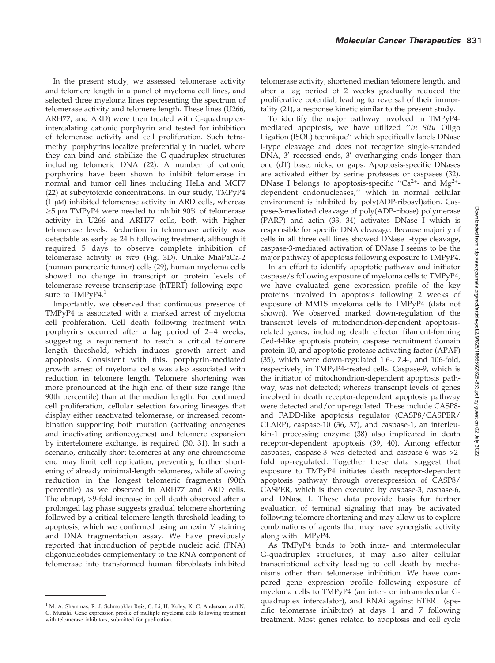In the present study, we assessed telomerase activity and telomere length in a panel of myeloma cell lines, and selected three myeloma lines representing the spectrum of telomerase activity and telomere length. These lines (U266, ARH77, and ARD) were then treated with G-quadruplexintercalating cationic porphyrin and tested for inhibition of telomerase activity and cell proliferation. Such tetramethyl porphyrins localize preferentially in nuclei, where they can bind and stabilize the G-quadruplex structures including telomeric DNA (22). A number of cationic porphyrins have been shown to inhibit telomerase in normal and tumor cell lines including HeLa and MCF7 (22) at subcytotoxic concentrations. In our study, TMPyP4  $(1 \mu)$  inhibited telomerase activity in ARD cells, whereas  $\geq$ 5 µM TMPyP4 were needed to inhibit 90% of telomerase activity in U266 and ARH77 cells, both with higher telomerase levels. Reduction in telomerase activity was detectable as early as 24 h following treatment, although it required 5 days to observe complete inhibition of telomerase activity in vivo (Fig. 3D). Unlike MiaPaCa-2 (human pancreatic tumor) cells (29), human myeloma cells showed no change in transcript or protein levels of telomerase reverse transcriptase (hTERT) following exposure to TMPyP4.<sup>1</sup>

Importantly, we observed that continuous presence of TMPyP4 is associated with a marked arrest of myeloma cell proliferation. Cell death following treatment with porphyrins occurred after a lag period of 2–4 weeks, suggesting a requirement to reach a critical telomere length threshold, which induces growth arrest and apoptosis. Consistent with this, porphyrin-mediated growth arrest of myeloma cells was also associated with reduction in telomere length. Telomere shortening was more pronounced at the high end of their size range (the 90th percentile) than at the median length. For continued cell proliferation, cellular selection favoring lineages that display either reactivated telomerase, or increased recombination supporting both mutation (activating oncogenes and inactivating antioncogenes) and telomere expansion by intertelomere exchange, is required (30, 31). In such a scenario, critically short telomeres at any one chromosome end may limit cell replication, preventing further shortening of already minimal-length telomeres, while allowing reduction in the longest telomeric fragments (90th percentile) as we observed in ARH77 and ARD cells. The abrupt, >9-fold increase in cell death observed after a prolonged lag phase suggests gradual telomere shortening followed by a critical telomere length threshold leading to apoptosis, which we confirmed using annexin V staining and DNA fragmentation assay. We have previously reported that introduction of peptide nucleic acid (PNA) oligonucleotides complementary to the RNA component of telomerase into transformed human fibroblasts inhibited

<sup>1</sup> M. A. Shammas, R. J. Schmookler Reis, C. Li, H. Koley, K. C. Anderson, and N. C. Munshi. Gene expression profile of multiple myeloma cells following treatment with telomerase inhibitors, submitted for publication.

telomerase activity, shortened median telomere length, and after a lag period of 2 weeks gradually reduced the proliferative potential, leading to reversal of their immortality (21), a response kinetic similar to the present study.

To identify the major pathway involved in TMPyP4 mediated apoptosis, we have utilized ''In Situ Oligo Ligation (ISOL) technique'' which specifically labels DNase I-type cleavage and does not recognize single-stranded DNA, 3'-recessed ends, 3'-overhanging ends longer than one (dT) base, nicks, or gaps. Apoptosis-specific DNases are activated either by serine proteases or caspases (32). DNase I belongs to apoptosis-specific "Ca<sup>2+</sup>- and Mg<sup>2+</sup>dependent endonucleases,'' which in normal cellular environment is inhibited by poly(ADP-ribosyl)ation. Caspase-3-mediated cleavage of poly(ADP-ribose) polymerase (PARP) and actin (33, 34) activates DNase I which is responsible for specific DNA cleavage. Because majority of cells in all three cell lines showed DNase I-type cleavage, caspase-3-mediated activation of DNase I seems to be the major pathway of apoptosis following exposure to TMPyP4.

In an effort to identify apoptotic pathway and initiator caspase/s following exposure of myeloma cells to TMPyP4, we have evaluated gene expression profile of the key proteins involved in apoptosis following 2 weeks of exposure of MM1S myeloma cells to TMPyP4 (data not shown). We observed marked down-regulation of the transcript levels of mitochondrion-dependent apoptosisrelated genes, including death effector filament-forming Ced-4-like apoptosis protein, caspase recruitment domain protein 10, and apoptotic protease activating factor (APAF) (35), which were down-regulated 1.6-, 7.4-, and 106-fold, respectively, in TMPyP4-treated cells. Caspase-9, which is the initiator of mitochondrion-dependent apoptosis pathway, was not detected; whereas transcript levels of genes involved in death receptor-dependent apoptosis pathway were detected and/or up-regulated. These include CASP8 and FADD-like apoptosis regulator (CASP8/CASPER/ CLARP), caspase-10 (36, 37), and caspase-1, an interleukin-1 processing enzyme (38) also implicated in death receptor-dependent apoptosis (39, 40). Among effector caspases, caspase-3 was detected and caspase-6 was >2 fold up-regulated. Together these data suggest that exposure to TMPyP4 initiates death receptor-dependent apoptosis pathway through overexpression of CASP8/ CASPER, which is then executed by caspase-3, caspase-6, and DNase I. These data provide basis for further evaluation of terminal signaling that may be activated following telomere shortening and may allow us to explore combinations of agents that may have synergistic activity along with TMPyP4.

As TMPyP4 binds to both intra- and intermolecular G-quadruplex structures, it may also alter cellular transcriptional activity leading to cell death by mechanisms other than telomerase inhibition. We have compared gene expression profile following exposure of myeloma cells to TMPyP4 (an inter- or intramolecular Gquadruplex intercalator), and RNAi against hTERT (specific telomerase inhibitor) at days 1 and 7 following treatment. Most genes related to apoptosis and cell cycle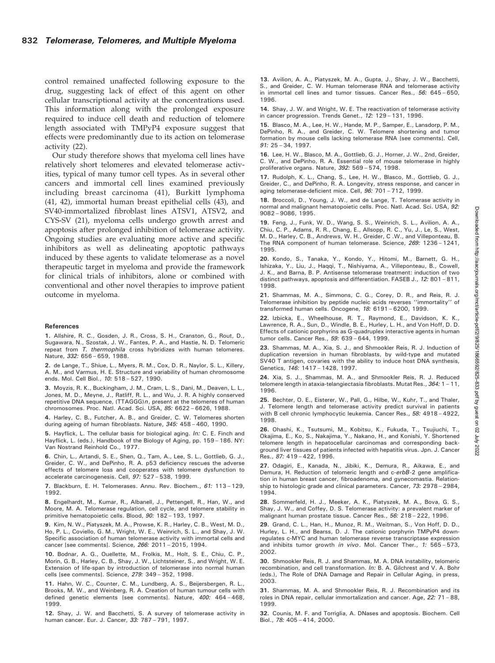control remained unaffected following exposure to the drug, suggesting lack of effect of this agent on other cellular transcriptional activity at the concentrations used. This information along with the prolonged exposure required to induce cell death and reduction of telomere length associated with TMPyP4 exposure suggest that effects were predominantly due to its action on telomerase activity (22).

Our study therefore shows that myeloma cell lines have relatively short telomeres and elevated telomerase activities, typical of many tumor cell types. As in several other cancers and immortal cell lines examined previously including breast carcinoma (41), Burkitt lymphoma (41, 42), immortal human breast epithelial cells (43), and SV40-immortalized fibroblast lines ATSV1, ATSV2, and CYS-SV (21), myeloma cells undergo growth arrest and apoptosis after prolonged inhibition of telomerase activity. Ongoing studies are evaluating more active and specific inhibitors as well as delineating apoptotic pathways induced by these agents to validate telomerase as a novel therapeutic target in myeloma and provide the framework for clinical trials of inhibitors, alone or combined with conventional and other novel therapies to improve patient outcome in myeloma.

#### References

1. Allshire, R. C., Gosden, J. R., Cross, S. H., Cranston, G., Rout, D., Sugawara, N., Szostak, J. W., Fantes, P. A., and Hastie, N. D. Telomeric repeat from T. thermophila cross hybridizes with human telomeres. Nature, 332: 656 - 659, 1988.

2. de Lange, T., Shiue, L., Myers, R. M., Cox, D. R., Naylor, S. L., Killery, A. M., and Varmus, H. E. Structure and variability of human chromosome ends. Mol. Cell Biol., 10: 518 – 527, 1990.

3. Moyzis, R. K., Buckingham, J. M., Cram, L. S., Dani, M., Deaven, L. L., Jones, M. D., Meyne, J., Ratliff, R. L., and Wu, J. R. A highly conserved repetitive DNA sequence,  $(TTAGGG)n$ , present at the telomeres of human chromosomes. Proc. Natl. Acad. Sci. USA, 85: 6622 – 6626, 1988.

4. Harley, C. B., Futcher, A. B., and Greider, C. W. Telomeres shorten during ageing of human fibroblasts. Nature, 345: 458 – 460, 1990.

5. Hayflick, L. The cellular basis for biological aging. In: C. E. Finch and Hayflick, L. (eds.), Handbook of the Biology of Aging, pp. 159 – 186. NY: Van Nostrand Reinhold Co., 1977.

6. Chin, L., Artandi, S. E., Shen, Q., Tam, A., Lee, S. L., Gottlieb, G. J., Greider, C. W., and DePinho, R. A. p53 deficiency rescues the adverse effects of telomere loss and cooperates with telomere dysfunction to accelerate carcinogenesis. Cell, 97: 527 – 538, 1999.

7. Blackburn, E. H. Telomerases. Annu. Rev. Biochem., 61: 113-129, 1992.

8. Engelhardt, M., Kumar, R., Albanell, J., Pettengell, R., Han, W., and Moore, M. A. Telomerase regulation, cell cycle, and telomere stability in primitive hematopoietic cells. Blood, 90: 182 - 193, 1997.

9. Kim, N. W., Piatyszek, M. A., Prowse, K. R., Harley, C. B., West, M. D., Ho, P. L., Coviello, G. M., Wright, W. E., Weinrich, S. L., and Shay, J. W. Specific association of human telomerase activity with immortal cells and cancer [see comments]. Science, 266: 2011 – 2015, 1994.

10. Bodnar, A. G., Ouellette, M., Frolkis, M., Holt, S. E., Chiu, C. P., Morin, G. B., Harley, C. B., Shay, J. W., Lichtsteiner, S., and Wright, W. E. Extension of life-span by introduction of telomerase into normal human cells [see comments]. Science, 279: 349 – 352, 1998.

11. Hahn, W. C., Counter, C. M., Lundberg, A. S., Beijersbergen, R. L., Brooks, M. W., and Weinberg, R. A. Creation of human tumour cells with defined genetic elements [see comments]. Nature, 400: 464 – 468, 1999.

12. Shay, J. W. and Bacchetti, S. A survey of telomerase activity in human cancer. Eur. J. Cancer, 33: 787 – 791, 1997.

13. Avilion, A. A., Piatyszek, M. A., Gupta, J., Shay, J. W., Bacchetti, S., and Greider, C. W. Human telomerase RNA and telomerase activity in immortal cell lines and tumor tissues. Cancer Res., 56: 645 – 650, 1996.

14. Shay, J. W. and Wright, W. E. The reactivation of telomerase activity in cancer progression. Trends Genet., 12: 129 – 131, 1996.

15. Blasco, M. A., Lee, H. W., Hande, M. P., Samper, E., Lansdorp, P. M., DePinho, R. A., and Greider, C. W. Telomere shortening and tumor formation by mouse cells lacking telomerase RNA [see comments]. Cell, 91: 25 – 34, 1997.

16. Lee, H. W., Blasco, M. A., Gottlieb, G. J., Horner, J. W., 2nd, Greider, C. W., and DePinho, R. A. Essential role of mouse telomerase in highly proliferative organs. Nature, 392: 569 – 574, 1998.

17. Rudolph, K. L., Chang, S., Lee, H. W., Blasco, M., Gottlieb, G. J., Greider, C., and DePinho, R. A. Longevity, stress response, and cancer in aging telomerase-deficient mice. Cell, 96: 701 – 712, 1999.

18. Broccoli, D., Young, J. W., and de Lange, T. Telomerase activity in normal and malignant hematopoietic cells. Proc. Natl. Acad. Sci. USA, 92: 9082 – 9086, 1995.

19. Feng, J., Funk, W. D., Wang, S. S., Weinrich, S. L., Avilion, A. A., Chiu, C. P., Adams, R. R., Chang, E., Allsopp, R. C., Yu, J., Le, S., West, M. D., Harley, C. B., Andrews, W. H., Greider, C .W., and Villeponteau, B. The RNA component of human telomerase. Science, 269: 1236 – 1241, 1995.

20. Kondo, S., Tanaka, Y., Kondo, Y., Hitomi, M., Barnett, G. H., Ishizaka, Y., Liu, J., Haqqi, T., Nishiyama, A., Villeponteau, B., Cowell, J. K., and Barna, B. P. Antisense telomerase treatment: induction of two distinct pathways, apoptosis and differentiation. FASEB J., 12: 801 – 811, 1998.

21. Shammas, M. A., Simmons, C. G., Corey, D. R., and Reis, R. J. Telomerase inhibition by peptide nucleic acids reverses ''immortality'' of transformed human cells. Oncogene, 18: 6191 – 6200, 1999.

22. Izbicka, E., Wheelhouse, R. T., Raymond, E., Davidson, K. K., Lawrence, R. A., Sun, D., Windle, B. E., Hurley, L. H., and Von Hoff, D. D. Effects of cationic porphyrins as G-quadruplex interactive agents in human tumor cells. Cancer Res., 59: 639 – 644, 1999.

23. Shammas, M. A., Xia, S. J., and Shmookler Reis, R. J. Induction of duplication reversion in human fibroblasts, by wild-type and mutated SV40 T antigen, covaries with the ability to induce host DNA synthesis, Genetics, 146: 1417 – 1428, 1997.

24. Xia, S. J., Shammas, M. A., and Shmookler Reis, R. J. Reduced telomere length in ataxia-telangiectasia fibroblasts. Mutat Res., 364: 1 – 11, 1996.

25. Bechter, O. E., Eisterer, W., Pall, G., Hilbe, W., Kuhr, T., and Thaler, J. Telomere length and telomerase activity predict survival in patients with B cell chronic lymphocytic leukemia. Cancer Res., 58: 4918 - 4922, 1998.

26. Ohashi, K., Tsutsumi, M., Kobitsu, K., Fukuda, T., Tsujiuchi, T., Okajima, E., Ko, S., Nakajima, Y., Nakano, H., and Konishi, Y. Shortened telomere length in hepatocellular carcinomas and corresponding background liver tissues of patients infected with hepatitis virus. Jpn. J. Cancer Res., 87: 419 – 422, 1996.

27. Odagiri, E., Kanada, N., Jibiki, K., Demura, R., Aikawa, E., and Demura, H. Reduction of telomeric length and c-erbB-2 gene amplification in human breast cancer, fibroadenoma, and gynecomastia. Relationship to histologic grade and clinical parameters. Cancer, 73: 2978 – 2984, 1994.

28. Sommerfeld, H. J., Meeker, A. K., Piatyszek, M. A., Bova, G. S., Shay, J. W., and Coffey, D. S. Telomerase activity: a prevalent marker of malignant human prostate tissue. Cancer Res., 56: 218 – 222, 1996.

29. Grand, C. L., Han, H., Munoz, R. M., Weitman, S., Von Hoff, D. D., Hurley, L. H., and Bearss, D. J. The cationic porphyrin TMPyP4 downregulates c-MYC and human telomerase reverse transcriptase expression and inhibits tumor growth in vivo. Mol. Cancer Ther., 1: 565-573, 2002.

30. Shmookler Reis, R. J. and Shammas, M. A. DNA instability, telomeric recombination, and cell transformation. In: B. A. Gilchrest and V. A. Bohr (eds.), The Role of DNA Damage and Repair in Cellular Aging, in press, 2003.

31. Shammas, M. A. and Shmookler Reis, R. J. Recombination and its roles in DNA repair, cellular immortalization and cancer. Age, 22: 71 – 88, 1999.

32. Counis, M. F. and Torriglia, A. DNases and apoptosis. Biochem. Cell Biol., 78: 405 – 414, 2000.